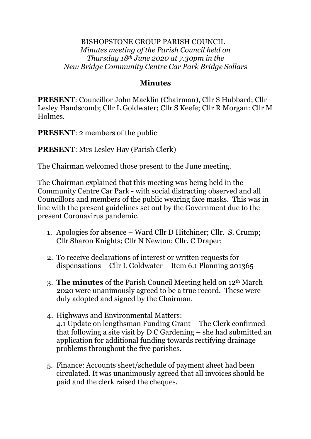#### BISHOPSTONE GROUP PARISH COUNCIL *Minutes meeting of the Parish Council held on Thursday 18th June 2020 at 7.30pm in the New Bridge Community Centre Car Park Bridge Sollars*

### **Minutes**

**PRESENT**: Councillor John Macklin (Chairman), Cllr S Hubbard; Cllr Lesley Handscomb; Cllr L Goldwater; Cllr S Keefe; Cllr R Morgan: Cllr M Holmes.

**PRESENT**: 2 members of the public

**PRESENT**: Mrs Lesley Hay (Parish Clerk)

The Chairman welcomed those present to the June meeting.

The Chairman explained that this meeting was being held in the Community Centre Car Park - with social distracting observed and all Councillors and members of the public wearing face masks. This was in line with the present guidelines set out by the Government due to the present Coronavirus pandemic.

- 1. Apologies for absence Ward Cllr D Hitchiner; Cllr. S. Crump; Cllr Sharon Knights; Cllr N Newton; Cllr. C Draper;
- 2. To receive declarations of interest or written requests for dispensations – Cllr L Goldwater – Item 6.1 Planning 201365
- 3. **The minutes** of the Parish Council Meeting held on 12th March 2020 were unanimously agreed to be a true record. These were duly adopted and signed by the Chairman.
- 4. Highways and Environmental Matters: 4.1 Update on lengthsman Funding Grant – The Clerk confirmed that following a site visit by D C Gardening – she had submitted an application for additional funding towards rectifying drainage problems throughout the five parishes.
- 5. Finance: Accounts sheet/schedule of payment sheet had been circulated. It was unanimously agreed that all invoices should be paid and the clerk raised the cheques.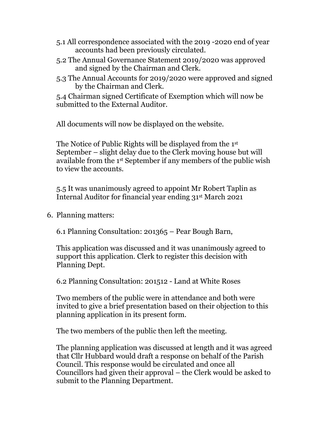- 5.1 All correspondence associated with the 2019 -2020 end of year accounts had been previously circulated.
- 5.2 The Annual Governance Statement 2019/2020 was approved and signed by the Chairman and Clerk.
- 5.3 The Annual Accounts for 2019/2020 were approved and signed by the Chairman and Clerk.

5.4 Chairman signed Certificate of Exemption which will now be submitted to the External Auditor.

All documents will now be displayed on the website.

The Notice of Public Rights will be displayed from the 1 st September – slight delay due to the Clerk moving house but will available from the 1st September if any members of the public wish to view the accounts.

5.5 It was unanimously agreed to appoint Mr Robert Taplin as Internal Auditor for financial year ending 31st March 2021

6. Planning matters:

6.1 Planning Consultation: 201365 – Pear Bough Barn,

This application was discussed and it was unanimously agreed to support this application. Clerk to register this decision with Planning Dept.

6.2 Planning Consultation: 201512 - Land at White Roses

Two members of the public were in attendance and both were invited to give a brief presentation based on their objection to this planning application in its present form.

The two members of the public then left the meeting.

The planning application was discussed at length and it was agreed that Cllr Hubbard would draft a response on behalf of the Parish Council. This response would be circulated and once all Councillors had given their approval – the Clerk would be asked to submit to the Planning Department.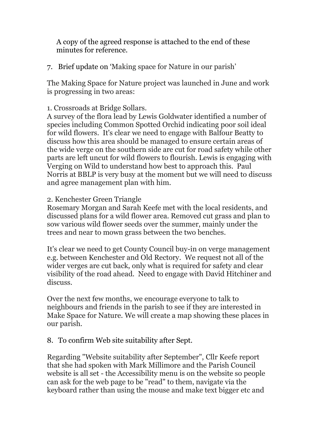A copy of the agreed response is attached to the end of these minutes for reference.

7. Brief update on 'Making space for Nature in our parish'

The Making Space for Nature project was launched in June and work is progressing in two areas:

# 1. Crossroads at Bridge Sollars.

A survey of the flora lead by Lewis Goldwater identified a number of species including Common Spotted Orchid indicating poor soil ideal for wild flowers. It's clear we need to engage with Balfour Beatty to discuss how this area should be managed to ensure certain areas of the wide verge on the southern side are cut for road safety while other parts are left uncut for wild flowers to flourish. Lewis is engaging with Verging on Wild to understand how best to approach this. Paul Norris at BBLP is very busy at the moment but we will need to discuss and agree management plan with him.

### 2. Kenchester Green Triangle

Rosemary Morgan and Sarah Keefe met with the local residents, and discussed plans for a wild flower area. Removed cut grass and plan to sow various wild flower seeds over the summer, mainly under the trees and near to mown grass between the two benches.

It's clear we need to get County Council buy-in on verge management e.g. between Kenchester and Old Rectory. We request not all of the wider verges are cut back, only what is required for safety and clear visibility of the road ahead. Need to engage with David Hitchiner and discuss.

Over the next few months, we encourage everyone to talk to neighbours and friends in the parish to see if they are interested in Make Space for Nature. We will create a map showing these places in our parish.

# 8. To confirm Web site suitability after Sept.

Regarding "Website suitability after September", Cllr Keefe report that she had spoken with Mark Millimore and the Parish Council website is all set - the Accessibility menu is on the website so people can ask for the web page to be "read" to them, navigate via the keyboard rather than using the mouse and make text bigger etc and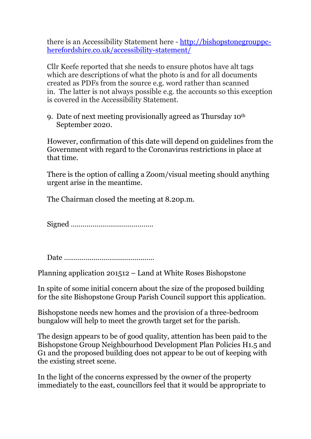there is an Accessibility Statement here - [http://bishopstonegrouppc](about:blank)[herefordshire.co.uk/accessibility-statement/](about:blank)

Cllr Keefe reported that she needs to ensure photos have alt tags which are descriptions of what the photo is and for all documents created as PDFs from the source e.g. word rather than scanned in. The latter is not always possible e.g. the accounts so this exception is covered in the Accessibility Statement.

9. Date of next meeting provisionally agreed as Thursday 10th September 2020.

However, confirmation of this date will depend on guidelines from the Government with regard to the Coronavirus restrictions in place at that time.

There is the option of calling a Zoom/visual meeting should anything urgent arise in the meantime.

The Chairman closed the meeting at 8.20p.m.

Signed ……………………………………

Date ……………………………………….

Planning application 201512 – Land at White Roses Bishopstone

In spite of some initial concern about the size of the proposed building for the site Bishopstone Group Parish Council support this application.

Bishopstone needs new homes and the provision of a three-bedroom bungalow will help to meet the growth target set for the parish.

The design appears to be of good quality, attention has been paid to the Bishopstone Group Neighbourhood Development Plan Policies H1.5 and G1 and the proposed building does not appear to be out of keeping with the existing street scene.

In the light of the concerns expressed by the owner of the property immediately to the east, councillors feel that it would be appropriate to